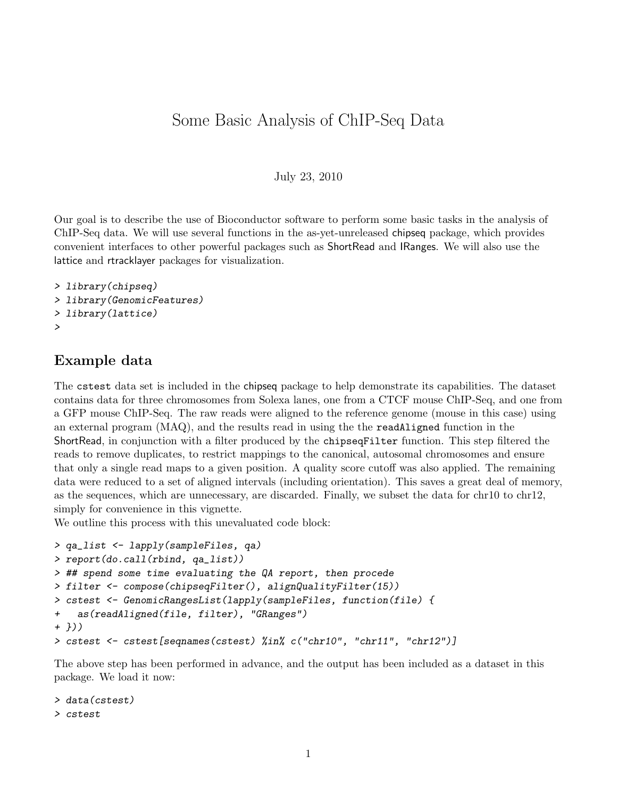# Some Basic Analysis of ChIP-Seq Data

#### July 23, 2010

Our goal is to describe the use of Bioconductor software to perform some basic tasks in the analysis of ChIP-Seq data. We will use several functions in the as-yet-unreleased chipseq package, which provides convenient interfaces to other powerful packages such as ShortRead and IRanges. We will also use the lattice and rtracklayer packages for visualization.

```
> library(chipseq)
> library(GenomicFeatures)
> library(lattice)
>
```
#### Example data

The cstest data set is included in the chipseq package to help demonstrate its capabilities. The dataset contains data for three chromosomes from Solexa lanes, one from a CTCF mouse ChIP-Seq, and one from a GFP mouse ChIP-Seq. The raw reads were aligned to the reference genome (mouse in this case) using an external program (MAQ), and the results read in using the the readAligned function in the ShortRead, in conjunction with a filter produced by the chipseqFilter function. This step filtered the reads to remove duplicates, to restrict mappings to the canonical, autosomal chromosomes and ensure that only a single read maps to a given position. A quality score cutoff was also applied. The remaining data were reduced to a set of aligned intervals (including orientation). This saves a great deal of memory, as the sequences, which are unnecessary, are discarded. Finally, we subset the data for chr10 to chr12, simply for convenience in this vignette.

We outline this process with this unevaluated code block:

```
> qa_list <- lapply(sampleFiles, qa)
> report(do.call(rbind, qa_list))
> ## spend some time evaluating the QA report, then procede
> filter <- compose(chipseqFilter(), alignQualityFilter(15))
> cstest <- GenomicRangesList(lapply(sampleFiles, function(file) {
+ as(readAligned(file, filter), "GRanges")
+ }))
> cstest <- cstest[seqnames(cstest) %in% c("chr10", "chr11", "chr12")]
```
The above step has been performed in advance, and the output has been included as a dataset in this package. We load it now:

```
> data(cstest)
> cstest
```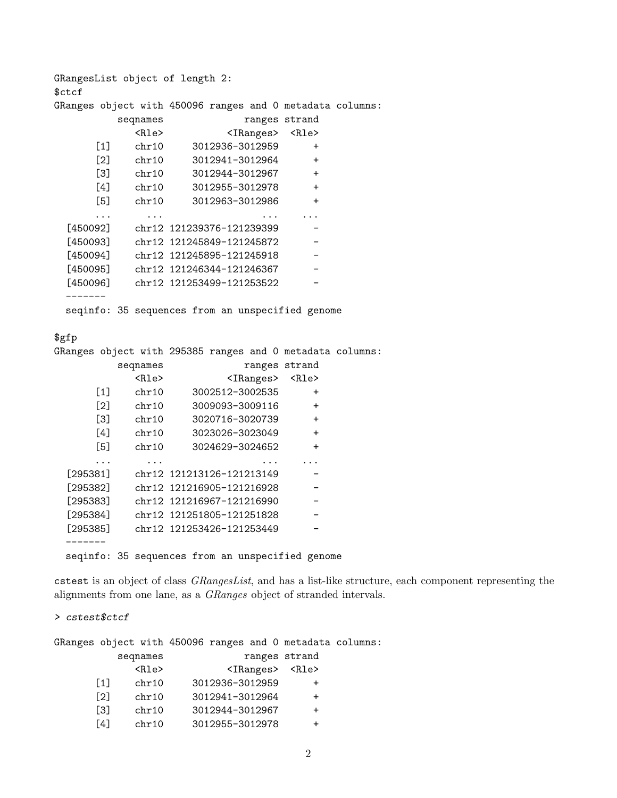GRangesList object of length 2: \$ctcf GRanges object with 450096 ranges and 0 metadata columns: seqnames ranges strand <Rle> <IRanges> <Rle> [1] chr10 3012936-3012959 +  $[2]$  chr10 3012941-3012964 + [3] chr10 3012944-3012967 + [4] chr10 3012955-3012978 + [5] chr10 3012963-3012986 + ... ... ... ... [450092] chr12 121239376-121239399 [450093] chr12 121245849-121245872 -[450094] chr12 121245895-121245918 [450095] chr12 121246344-121246367 -[450096] chr12 121253499-121253522 ------- seqinfo: 35 sequences from an unspecified genome

#### \$gfp

GRanges object with 295385 ranges and 0 metadata columns:

|          | seqnames    | ranges strand             |           |
|----------|-------------|---------------------------|-----------|
|          | <rle></rle> | <iranges></iranges>       | $R1e$     |
| [1]      | chr10       | 3002512-3002535           | $\ddot{}$ |
| [2]      | chr10       | 3009093-3009116           | $\ddot{}$ |
| [3]      | chr10       | 3020716-3020739           | $\ddot{}$ |
| [4]      | chr10       | 3023026-3023049           | $\ddot{}$ |
| [5]      | chr10       | 3024629-3024652           | $\ddot{}$ |
|          |             |                           |           |
| [295381] |             | chr12 121213126-121213149 |           |
| [295382] |             | chr12 121216905-121216928 |           |
| [295383] |             | chr12 121216967-121216990 |           |
| [295384] |             | chr12 121251805-121251828 |           |
| [295385] |             | chr12 121253426-121253449 |           |
|          |             |                           |           |

seqinfo: 35 sequences from an unspecified genome

cstest is an object of class GRangesList, and has a list-like structure, each component representing the alignments from one lane, as a GRanges object of stranded intervals.

#### > cstest\$ctcf

GRanges object with 450096 ranges and 0 metadata columns:

|                   | seqnames                | ranges strand       |             |
|-------------------|-------------------------|---------------------|-------------|
|                   | $\langle$ Rle $\rangle$ | <iranges></iranges> | <rle></rle> |
| $\lceil 1 \rceil$ | chr10                   | 3012936-3012959     | ┿           |
| $\lceil 2 \rceil$ | chr10                   | 3012941-3012964     | $\div$      |
| Г31               | chr10                   | 3012944-3012967     | $\div$      |
| [4]               | chr10                   | 3012955-3012978     | +           |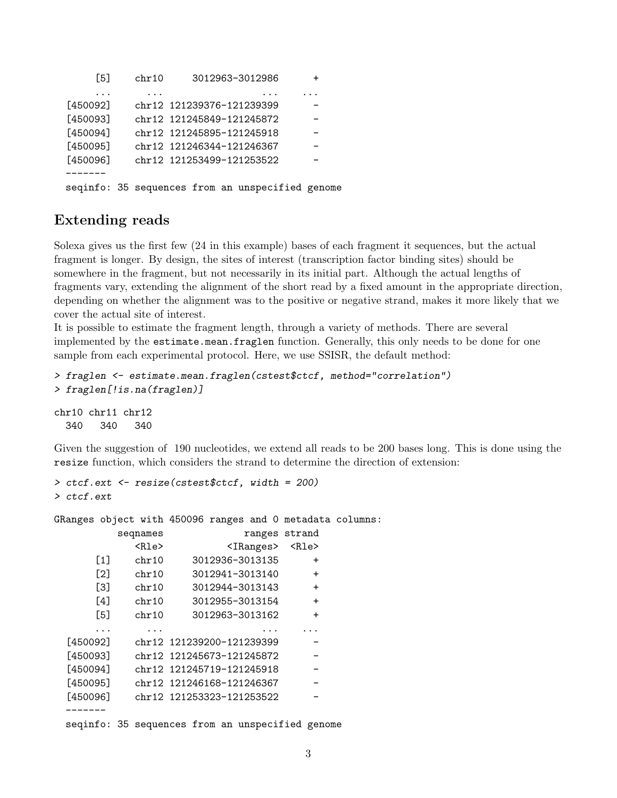```
[5] chr10 3012963-3012986 +
    ... ... ... ...
[450092] chr12 121239376-121239399
[450093] chr12 121245849-121245872
[450094] chr12 121245895-121245918
[450095] chr12 121246344-121246367 -
[450096] chr12 121253499-121253522
-------
seqinfo: 35 sequences from an unspecified genome
```
## Extending reads

Solexa gives us the first few (24 in this example) bases of each fragment it sequences, but the actual fragment is longer. By design, the sites of interest (transcription factor binding sites) should be somewhere in the fragment, but not necessarily in its initial part. Although the actual lengths of fragments vary, extending the alignment of the short read by a fixed amount in the appropriate direction, depending on whether the alignment was to the positive or negative strand, makes it more likely that we cover the actual site of interest.

It is possible to estimate the fragment length, through a variety of methods. There are several implemented by the estimate.mean.fraglen function. Generally, this only needs to be done for one sample from each experimental protocol. Here, we use SSISR, the default method:

```
> fraglen <- estimate.mean.fraglen(cstest$ctcf, method="correlation")
> fraglen[!is.na(fraglen)]
chr10 chr11 chr12
```
340 340 340

Given the suggestion of 190 nucleotides, we extend all reads to be 200 bases long. This is done using the resize function, which considers the strand to determine the direction of extension:

```
> ctcf.ext <- resize(cstest$ctcf, width = 200)
> ctcf.ext
```
GRanges object with 450096 ranges and 0 metadata columns:

|          | seqnames                                         |  |                                 | ranges strand |  |
|----------|--------------------------------------------------|--|---------------------------------|---------------|--|
|          | <rle></rle>                                      |  | <iranges> <rle></rle></iranges> |               |  |
| [1]      | chr10                                            |  | 3012936-3013135                 | $\ddot{}$     |  |
| [2]      | chr10                                            |  | 3012941-3013140                 | $\ddot{}$     |  |
| [3]      | chr10                                            |  | 3012944-3013143                 | $+$           |  |
| [4]      | chr10                                            |  | 3012955-3013154                 | $\ddot{}$     |  |
| [5]      | chr10                                            |  | 3012963-3013162                 | $\ddot{}$     |  |
|          |                                                  |  |                                 |               |  |
| [450092] |                                                  |  | chr12 121239200-121239399       |               |  |
| [450093] |                                                  |  | chr12 121245673-121245872       |               |  |
| [450094] |                                                  |  | chr12 121245719-121245918       |               |  |
| [450095] |                                                  |  | chr12 121246168-121246367       |               |  |
| [450096] |                                                  |  | chr12 121253323-121253522       |               |  |
|          |                                                  |  |                                 |               |  |
|          | seqinfo: 35 sequences from an unspecified genome |  |                                 |               |  |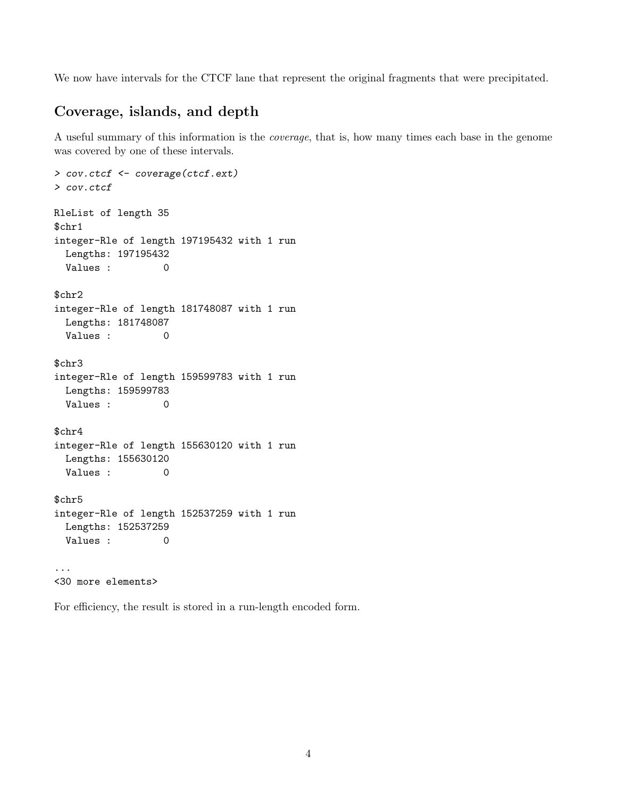We now have intervals for the CTCF lane that represent the original fragments that were precipitated.

# Coverage, islands, and depth

A useful summary of this information is the coverage, that is, how many times each base in the genome was covered by one of these intervals.

```
> cov.ctcf <- coverage(ctcf.ext)
> cov.ctcf
RleList of length 35
$chr1
integer-Rle of length 197195432 with 1 run
 Lengths: 197195432
 Values : 0
$chr2
integer-Rle of length 181748087 with 1 run
 Lengths: 181748087
 Values : 0
$chr3
integer-Rle of length 159599783 with 1 run
 Lengths: 159599783
 Values : 0
$chr4
integer-Rle of length 155630120 with 1 run
 Lengths: 155630120
 Values : 0
$chr5
integer-Rle of length 152537259 with 1 run
 Lengths: 152537259
 Values : 0
...
<30 more elements>
```
For efficiency, the result is stored in a run-length encoded form.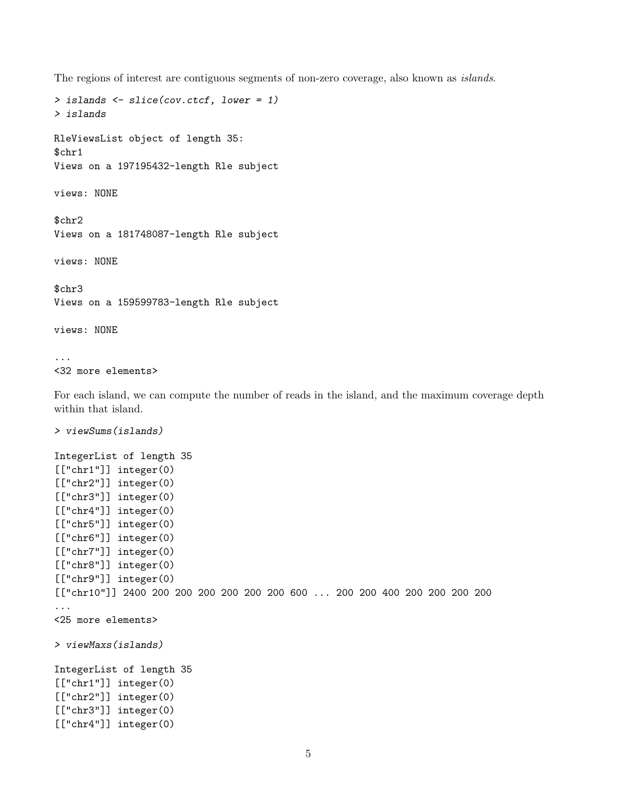The regions of interest are contiguous segments of non-zero coverage, also known as islands.

```
> islands <- slice(cov.ctcf, lower = 1)
> islands
RleViewsList object of length 35:
$chr1
Views on a 197195432-length Rle subject
views: NONE
$chr2
Views on a 181748087-length Rle subject
views: NONE
$chr3
Views on a 159599783-length Rle subject
views: NONE
...
<32 more elements>
For each island, we can compute the number of reads in the island, and the maximum coverage depth
within that island.
```

```
> viewSums(islands)
```

```
IntegerList of length 35
[["chr1"]] integer(0)
[["chr2"]] integer(0)
[["chr3"]] integer(0)
[["chr4"]] integer(0)
[["chr5"]] integer(0)
[["chr6"]] integer(0)
[["chr7"]] integer(0)
[["chr8"]] integer(0)
[["chr9"]] integer(0)
[["chr10"]] 2400 200 200 200 200 200 200 600 ... 200 200 400 200 200 200 200
...
<25 more elements>
> viewMaxs(islands)
IntegerList of length 35
[["chr1"]] integer(0)
[["chr2"]] integer(0)
[["chr3"]] integer(0)
[["chr4"]] integer(0)
```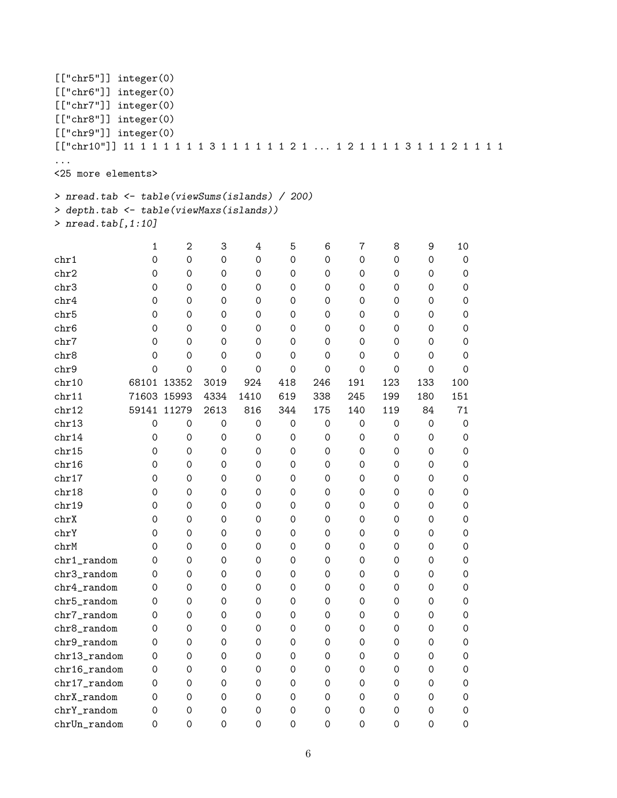```
[["chr5"]] integer(0)
[["chr6"]] integer(0)
[["chr7"]] integer(0)
[["chr8"]] integer(0)
[["chr9"]] integer(0)
[["chr10"]] 11 1 1 1 1 1 1 3 1 1 1 1 1 1 2 1 ... 1 2 1 1 1 1 3 1 1 1 2 1 1 1 1
...
<25 more elements>
> nread.tab <- table(viewSums(islands) / 200)
> depth.tab <- table(viewMaxs(islands))
> nread.tab[,1:10]
        1 2 3 4 5 6 7 8 9 10
chr1 0 0 0 0 0 0 0 0 0 0
chr2 0 0 0 0 0 0 0 0 0 0
chr3 0 0 0 0 0 0 0 0 0 0
chr4 0 0 0 0 0 0 0 0 0 0
chr5 0 0 0 0 0 0 0 0 0 0
chr6 0 0 0 0 0 0 0 0 0 0
chr7 0 0 0 0 0 0 0 0 0 0
chr8 0 0 0 0 0 0 0 0 0 0 0
chr9 0 0 0 0 0 0 0 0 0 0 0
chr10 68101 13352 3019 924 418 246 191 123 133 100
chr11 71603 15993 4334 1410 619 338 245 199 180 151
chr12 59141 11279 2613 816 344 175 140 119 84 71
chr13 0 0 0 0 0 0 0 0 0 0 0
chr14 0 0 0 0 0 0 0 0 0 0
chr15 0 0 0 0 0 0 0 0 0 0
chr16 0 0 0 0 0 0 0 0 0 0
chr17 0 0 0 0 0 0 0 0 0 0
chr18 0 0 0 0 0 0 0 0 0 0
chr19 0 0 0 0 0 0 0 0 0 0
chrX 0 0 0 0 0 0 0 0 0 0 0
chrY 0 0 0 0 0 0 0 0 0 0
chrM 0 0 0 0 0 0 0 0 0 0
chr1_random 0 0 0 0 0 0 0 0 0 0
chr3_random 0 0 0 0 0 0 0 0 0 0
chr4_random 0 0 0 0 0 0 0 0 0 0
chr5_random 0 0 0 0 0 0 0 0 0 0
chr7_random 0 0 0 0 0 0 0 0 0 0
chr8_random 0 0 0 0 0 0 0 0 0 0
chr9_random  0  0  0  0  0  0  0  0  0  0  0
chr13_random 0 0 0 0 0 0 0 0 0 0
chr16_random 0 0 0 0 0 0 0 0 0 0
chr17_random 0 0 0 0 0 0 0 0 0 0
chrX_random 0 0 0 0 0 0 0 0 0 0
chrY_random 0 0 0 0 0 0 0 0 0 0
chrUn_random 0 0 0 0 0 0 0 0 0 0
```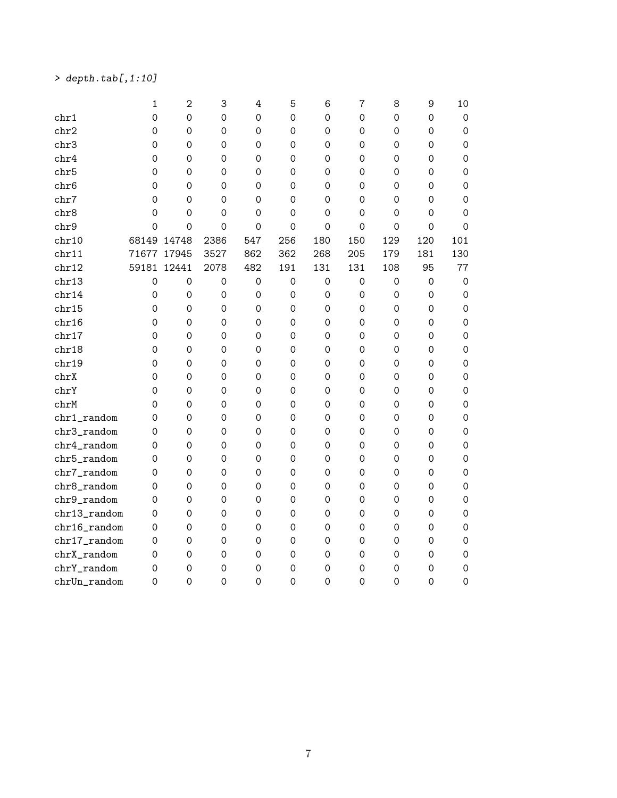# $>$  depth.tab[,1:10]

|                  | $\mathbf{1}$ | $\overline{2}$      | 3           | $\overline{4}$      | 5                   | 6                   | $\overline{7}$      | 8           | 9                   | 10                  |
|------------------|--------------|---------------------|-------------|---------------------|---------------------|---------------------|---------------------|-------------|---------------------|---------------------|
| chr1             | $\mathbf 0$  | $\mathsf{O}\xspace$ | $\mathbf 0$ | $\mathbf 0$         | $\mathbf 0$         | $\mathbf 0$         | 0                   | 0           | 0                   | 0                   |
| chr2             | $\mathbf 0$  | $\mathsf{O}\xspace$ | $\mathbf 0$ | 0                   | 0                   | $\mathbf 0$         | 0                   | 0           | 0                   | 0                   |
| chr3             | $\mathbf 0$  | $\mathbf 0$         | $\mathbf 0$ | 0                   | 0                   | 0                   | $\mathbf 0$         | 0           | $\mathbf 0$         | 0                   |
| chr4             | 0            | $\mathbf 0$         | 0           | 0                   | 0                   | 0                   | 0                   | 0           | 0                   | 0                   |
| chr <sub>5</sub> | 0            | $\mathbf 0$         | 0           | 0                   | 0                   | 0                   | 0                   | 0           | 0                   | 0                   |
| chr <sub>6</sub> | 0            | $\mathbf 0$         | 0           | 0                   | 0                   | 0                   | 0                   | 0           | $\mathbf 0$         | $\mathbf 0$         |
| chr7             | 0            | $\mathbf 0$         | 0           | 0                   | 0                   | 0                   | 0                   | 0           | 0                   | $\mathbf 0$         |
| chr8             | $\mathbf 0$  | $\mathbf 0$         | 0           | 0                   | 0                   | $\Omega$            | 0                   | 0           | 0                   | 0                   |
| chr9             | $\mathbf 0$  | $\mathbf 0$         | $\mathbf 0$ | $\mathbf 0$         | $\mathbf 0$         | $\mathbf 0$         | $\mathbf 0$         | 0           | $\mathbf 0$         | $\Omega$            |
| chr10            | 68149        | 14748               | 2386        | 547                 | 256                 | 180                 | 150                 | 129         | 120                 | 101                 |
| chr11            | 71677        | 17945               | 3527        | 862                 | 362                 | 268                 | 205                 | 179         | 181                 | 130                 |
| chr12            | 59181        | 12441               | 2078        | 482                 | 191                 | 131                 | 131                 | 108         | 95                  | 77                  |
| chr13            | $\mathbf 0$  | $\mathsf{O}\xspace$ | $\mathbf 0$ | $\mathsf{O}\xspace$ | $\mathsf{O}\xspace$ | $\mathsf{O}\xspace$ | $\mathsf{O}\xspace$ | $\mathbf 0$ | $\mathsf{O}\xspace$ | $\mathsf{O}\xspace$ |
| chr14            | 0            | $\mathsf{O}\xspace$ | $\mathbf 0$ | 0                   | $\mathsf{O}\xspace$ | $\mathsf{O}\xspace$ | $\mathsf{O}\xspace$ | 0           | $\mathsf{O}\xspace$ | $\mathsf{O}\xspace$ |
| chr15            | 0            | 0                   | 0           | 0                   | $\mathsf{O}\xspace$ | $\mathsf{O}\xspace$ | 0                   | 0           | 0                   | $\mathsf{O}\xspace$ |
| chr16            | 0            | $\mathsf{O}\xspace$ | $\mathbf 0$ | 0                   | 0                   | 0                   | 0                   | 0           | 0                   | $\mathsf{O}\xspace$ |
| chr17            | 0            | $\mathbf 0$         | 0           | 0                   | 0                   | 0                   | 0                   | 0           | 0                   | $\mathbf 0$         |
| chr18            | 0            | 0                   | 0           | 0                   | 0                   | $\Omega$            | 0                   | 0           | 0                   | $\mathbf 0$         |
| chr19            | 0            | 0                   | 0           | 0                   | 0                   | 0                   | 0                   | 0           | 0                   | $\mathbf 0$         |
| chrX             | 0            | $\mathsf{O}\xspace$ | $\mathbf 0$ | 0                   | 0                   | $\mathsf{O}\xspace$ | 0                   | 0           | $\mathbf 0$         | $\mathbf 0$         |
| chrY             | 0            | $\mathsf{O}\xspace$ | 0           | 0                   | 0                   | $\Omega$            | 0                   | 0           | 0                   | $\mathbf 0$         |
| chrM             | 0            | $\mathbf 0$         | $\mathbf 0$ | 0                   | 0                   | $\Omega$            | 0                   | 0           | 0                   | $\mathbf 0$         |
| chr1_random      | $\mathbf 0$  | $\mathbf 0$         | $\mathbf 0$ | $\mathsf{O}\xspace$ | $\mathsf{O}\xspace$ | $\mathbf 0$         | 0                   | 0           | $\mathsf{O}\xspace$ | $\mathbf 0$         |
| chr3_random      | $\mathbf 0$  | $\mathbf 0$         | $\mathbf 0$ | 0                   | $\mathbf 0$         | $\mathbf 0$         | $\mathbf 0$         | 0           | 0                   | $\mathbf 0$         |
| chr4_random      | 0            | $\mathbf 0$         | 0           | 0                   | 0                   | 0                   | 0                   | 0           | 0                   | $\mathbf 0$         |
| chr5_random      | 0            | 0                   | 0           | 0                   | 0                   | 0                   | 0                   | 0           | 0                   | 0                   |
| chr7_random      | 0            | 0                   | 0           | 0                   | 0                   | $\mathbf 0$         | 0                   | 0           | $\mathbf 0$         | 0                   |
| chr8_random      | 0            | 0                   | $\mathbf 0$ | 0                   | 0                   | $\mathbf 0$         | 0                   | 0           | $\mathbf 0$         | $\mathbf 0$         |
| chr9_random      | 0            | 0                   | $\mathbf 0$ | 0                   | 0                   | 0                   | 0                   | 0           | $\mathbf 0$         | $\mathbf 0$         |
| chr13_random     | 0            | 0                   | 0           | 0                   | 0                   | 0                   | 0                   | 0           | $\mathbf 0$         | $\mathbf 0$         |
| chr16_random     | 0            | 0                   | 0           | 0                   | 0                   | $\mathbf 0$         | 0                   | 0           | 0                   | $\mathbf 0$         |
| chr17_random     | 0            | 0                   | 0           | 0                   | 0                   | 0                   | 0                   | 0           | 0                   | 0                   |
| chrX_random      | 0            | 0                   | 0           | 0                   | 0                   | 0                   | 0                   | 0           | 0                   | 0                   |
| chrY_random      | 0            | 0                   | 0           | 0                   | 0                   | $\mathbf 0$         | 0                   | 0           | 0                   | 0                   |
| chrUn_random     | 0            | 0                   | 0           | 0                   | 0                   | 0                   | 0                   | 0           | 0                   | 0                   |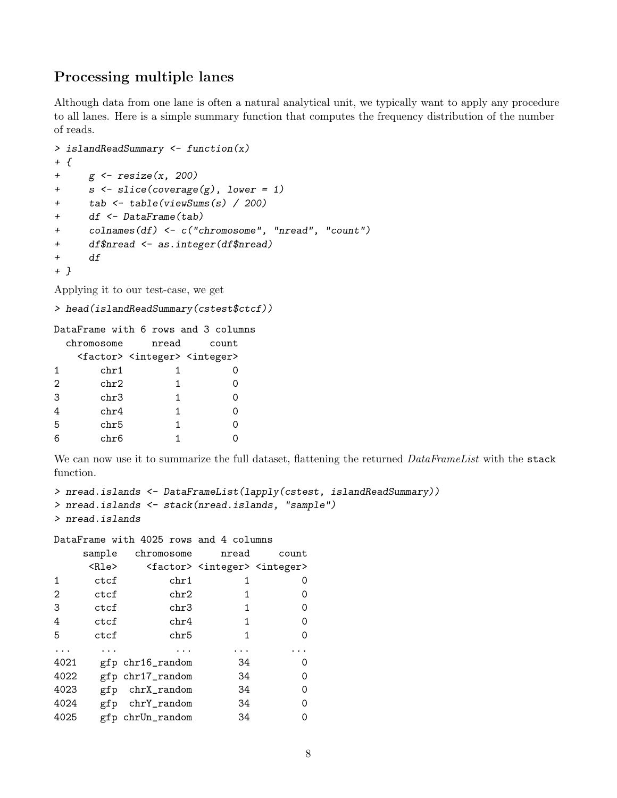# Processing multiple lanes

Although data from one lane is often a natural analytical unit, we typically want to apply any procedure to all lanes. Here is a simple summary function that computes the frequency distribution of the number of reads.

```
> islandReadSummary <- function(x)
+ {
+ g \leftarrow \text{resize}(x, 200)+ s <- slice(coverage(g), lower = 1)
+ tab <- table(viewSums(s) / 200)
+ df <- DataFrame(tab)
+ colnames(df) <- c("chromosome", "nread", "count")
+ df$nread <- as.integer(df$nread)
+ df
+ }
```
Applying it to our test-case, we get

```
> head(islandReadSummary(cstest$ctcf))
```

|                   | DataFrame with 6 rows and 3 columns                       |       |       |
|-------------------|-----------------------------------------------------------|-------|-------|
|                   | chromosome                                                | nread | count |
|                   | <factor> <integer> <integer></integer></integer></factor> |       |       |
| -1                | chr1                                                      |       |       |
| $\mathcal{D}_{1}$ | chr2                                                      | 1.    |       |
| 3                 | chr3                                                      | 1     |       |
| 4                 | chr4                                                      | 1     |       |
| 5                 | chr5                                                      | 1     |       |
| 6                 | chr6                                                      |       |       |

We can now use it to summarize the full dataset, flattening the returned *DataFrameList* with the stack function.

```
> nread.islands <- DataFrameList(lapply(cstest, islandReadSummary))
> nread.islands <- stack(nread.islands, "sample")
> nread.islands
```
DataFrame with 4025 rows and 4 columns

|      | sample | chromosome       | nread                                                     | count |
|------|--------|------------------|-----------------------------------------------------------|-------|
|      | R      |                  | <factor> <integer> <integer></integer></integer></factor> |       |
| 1    | ctcf   | chr1             | 1                                                         | O     |
| 2    | ctcf   | chr2             | 1                                                         | O)    |
| 3    | ctcf   | chr3             | 1                                                         | Ω     |
| 4    | ctcf   | chr4             | 1                                                         | 0     |
| 5    | ctcf   | chr5             | 1                                                         | Ω     |
|      |        |                  |                                                           |       |
| 4021 |        | gfp chr16_random | 34                                                        | Ω     |
| 4022 |        | gfp chr17_random | 34                                                        | Ω     |
| 4023 | gfp    | chrX_random      | 34                                                        | Ω     |
| 4024 | gfp    | chrY_random      | 34                                                        | Ω     |
| 4025 |        | gfp chrUn_random | 34                                                        |       |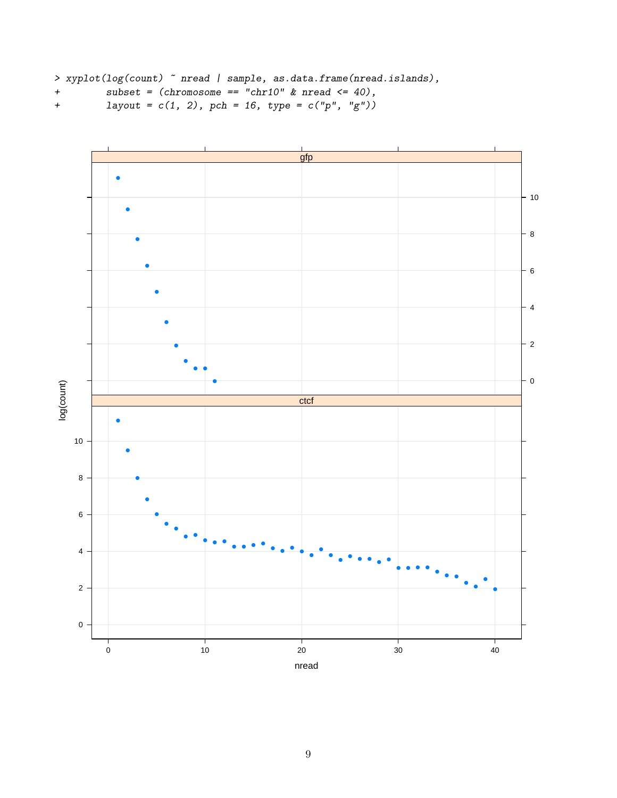```
> xyplot(log(count) ~ nread | sample, as.data.frame(nread.islands),
```
+ subset =  $(chromosome == "chr10" & nread <= 40)$ ,

```
+ layout = c(1, 2), pch = 16, type = c("p", "g"))
```
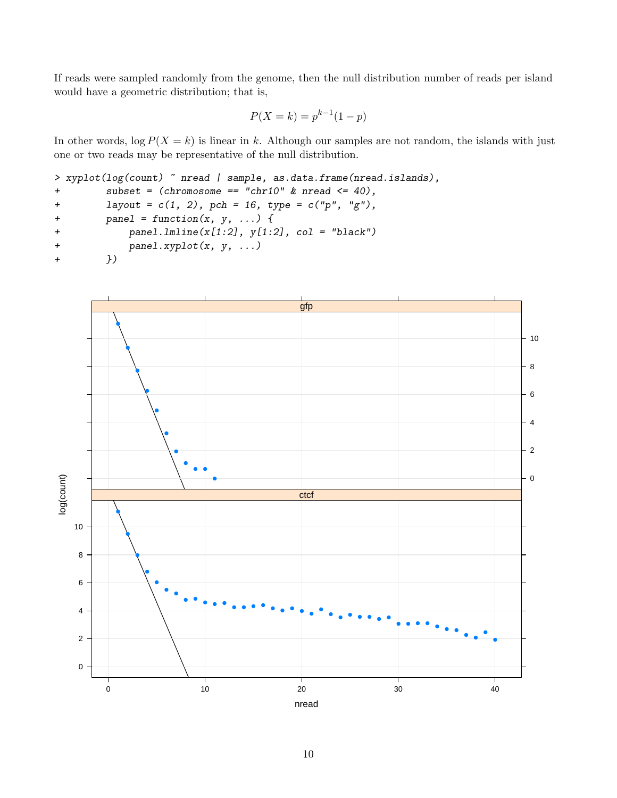If reads were sampled randomly from the genome, then the null distribution number of reads per island would have a geometric distribution; that is,

$$
P(X = k) = p^{k-1}(1 - p)
$$

In other words,  $\log P(X = k)$  is linear in k. Although our samples are not random, the islands with just one or two reads may be representative of the null distribution.

```
> xyplot(log(count) ~ nread | sample, as.data.frame(nread.islands),
+ subset = (chromosome == "chr10" & nread <= 40),
+ layout = c(1, 2), pch = 16, type = c("p", "g"),
+ panel = function(x, y, ...) {
+ panel.lmline(x[1:2], y[1:2], col = "black")
+ panel.xyplot(x, y, ...)
+ })
```
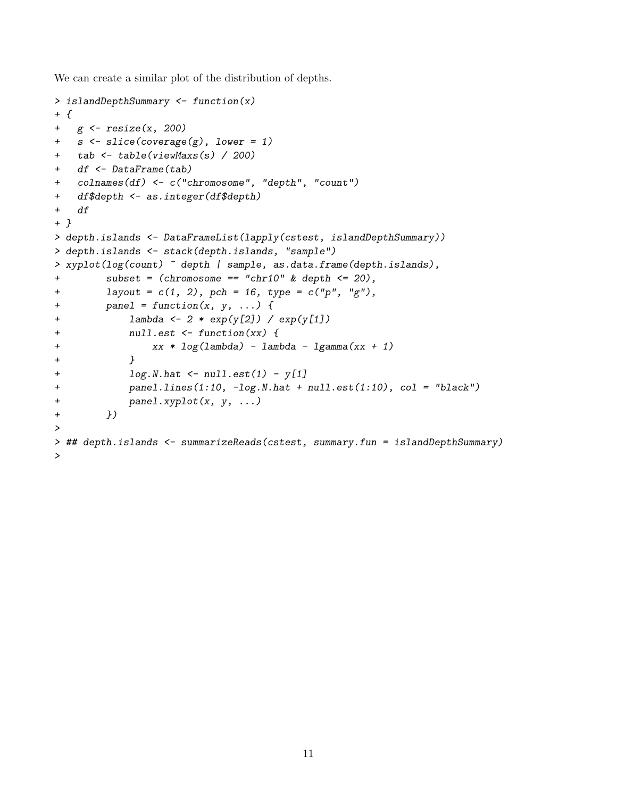We can create a similar plot of the distribution of depths.

```
> islandDepthSummary <- function(x)
+ f+ g <- resize(x, 200)
+ s <- slice(coverage(g), lower = 1)
+ tab <- table(viewMaxs(s) / 200)
+ df <- DataFrame(tab)
+ colnames(df) <- c("chromosome", "depth", "count")
+ df$depth <- as.integer(df$depth)
+ df
+ }
> depth.islands <- DataFrameList(lapply(cstest, islandDepthSummary))
> depth.islands <- stack(depth.islands, "sample")
> xyplot(log(count) ~ depth | sample, as.data.frame(depth.islands),
+ subset = (chromosome == "chr10" & depth <= 20),
+ layout = c(1, 2), pch = 16, type = c("p", "g"),
+ panel = function(x, y, ...) {
+ lambda <- 2 * exp(y[2]) / exp(y[1])
+ null.est <- function(xx) {
+ xx * log(lambda) - lambda - lgamma(xx + 1)
+ }
+ log.N.hat \leftarrow null.set(1) - y[1]+ panel.lines(1:10, -log.N.hat + null.est(1:10), col = "black")
+ panel.xyplot(x, y, ...)
+ })
>
> ## depth.islands <- summarizeReads(cstest, summary.fun = islandDepthSummary)
>
```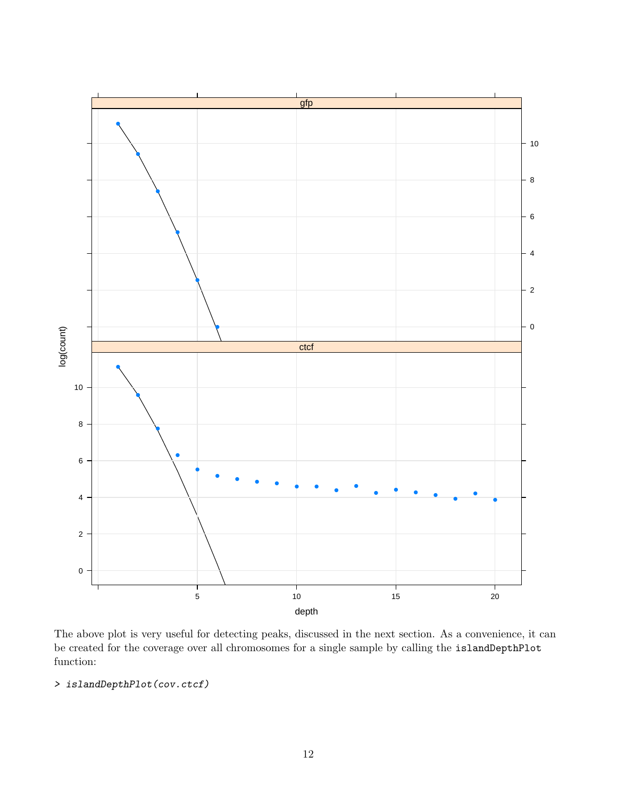

The above plot is very useful for detecting peaks, discussed in the next section. As a convenience, it can be created for the coverage over all chromosomes for a single sample by calling the islandDepthPlot function:

### > islandDepthPlot(cov.ctcf)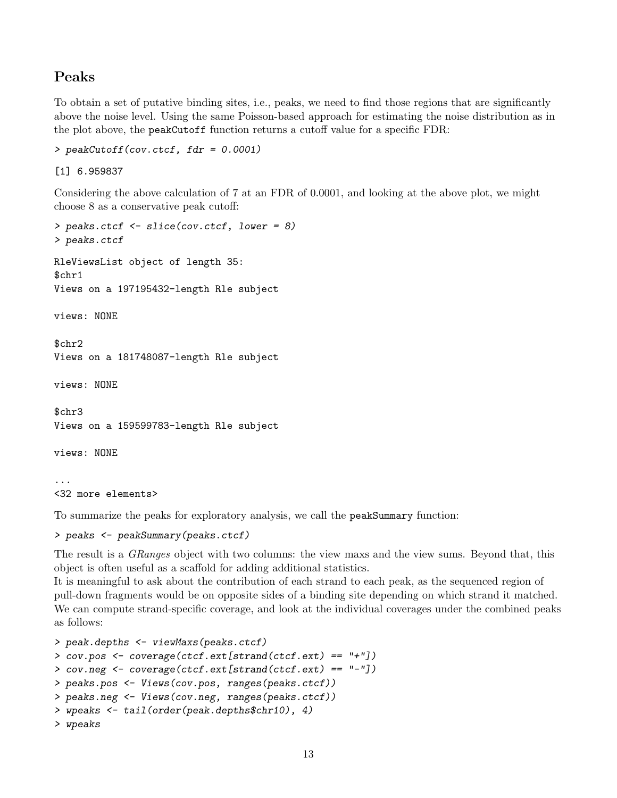# Peaks

To obtain a set of putative binding sites, i.e., peaks, we need to find those regions that are significantly above the noise level. Using the same Poisson-based approach for estimating the noise distribution as in the plot above, the peakCutoff function returns a cutoff value for a specific FDR:

```
> peakCutoff(cov.ctcf, fdr = 0.0001)
```
[1] 6.959837

Considering the above calculation of 7 at an FDR of 0.0001, and looking at the above plot, we might choose 8 as a conservative peak cutoff:

```
> peaks.ctcf <- slice(cov.ctcf, lower = 8)
> peaks.ctcf
RleViewsList object of length 35:
$chr1
Views on a 197195432-length Rle subject
views: NONE
$chr2
Views on a 181748087-length Rle subject
views: NONE
$chr3
Views on a 159599783-length Rle subject
views: NONE
```
... <32 more elements>

To summarize the peaks for exploratory analysis, we call the peakSummary function:

```
> peaks <- peakSummary(peaks.ctcf)
```
The result is a *GRanges* object with two columns: the view maxs and the view sums. Beyond that, this object is often useful as a scaffold for adding additional statistics.

It is meaningful to ask about the contribution of each strand to each peak, as the sequenced region of pull-down fragments would be on opposite sides of a binding site depending on which strand it matched. We can compute strand-specific coverage, and look at the individual coverages under the combined peaks as follows:

```
> peak.depths <- viewMaxs(peaks.ctcf)
> cov.pos <- coverage(ctcf.ext[strand(ctcf.ext) == "+"])
> cov.neg <- coverage(ctcf.ext[strand(ctcf.ext) == "-"])
> peaks.pos <- Views(cov.pos, ranges(peaks.ctcf))
> peaks.neg <- Views(cov.neg, ranges(peaks.ctcf))
> wpeaks <- tail(order(peak.depths$chr10), 4)
> wpeaks
```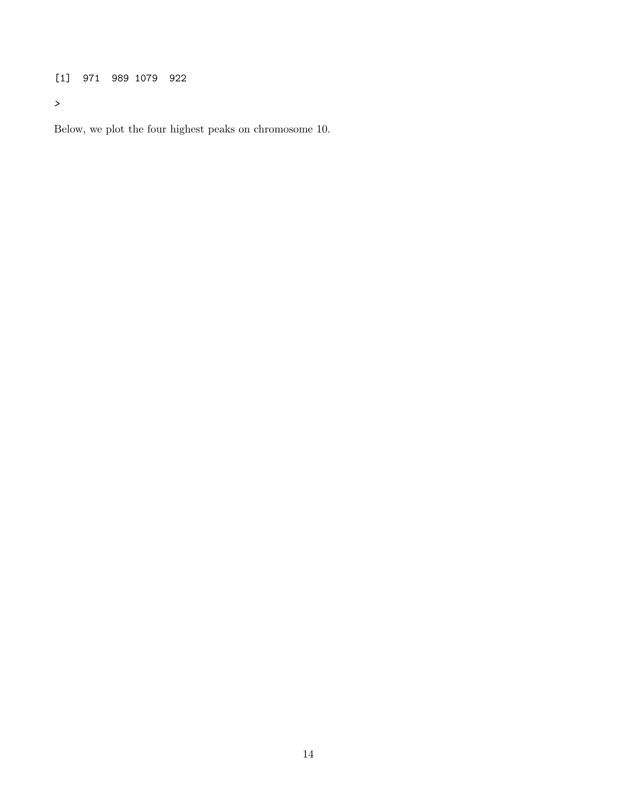[1] 971 989 1079 922

>

Below, we plot the four highest peaks on chromosome 10.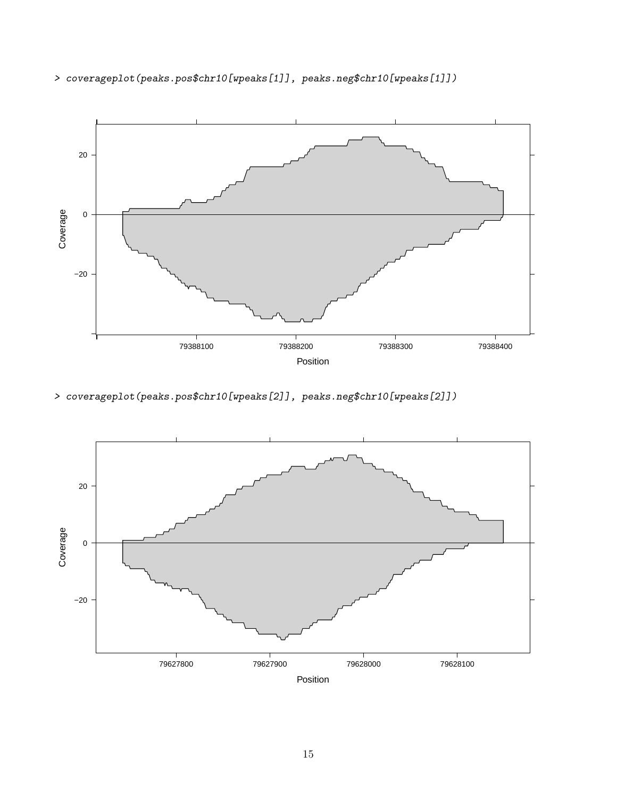

> coverageplot(peaks.pos\$chr10[wpeaks[1]], peaks.neg\$chr10[wpeaks[1]])

> coverageplot(peaks.pos\$chr10[wpeaks[2]], peaks.neg\$chr10[wpeaks[2]])

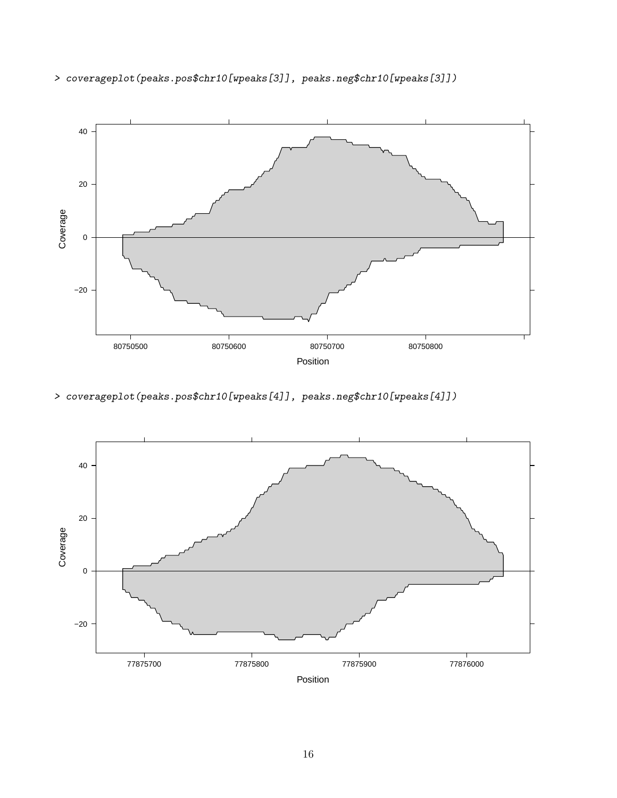

> coverageplot(peaks.pos\$chr10[wpeaks[3]], peaks.neg\$chr10[wpeaks[3]])

> coverageplot(peaks.pos\$chr10[wpeaks[4]], peaks.neg\$chr10[wpeaks[4]])

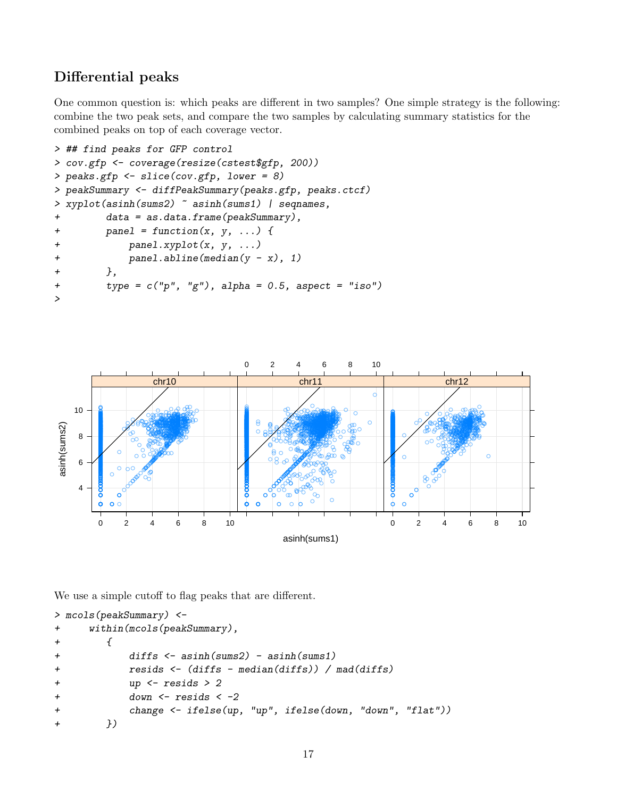# Differential peaks

One common question is: which peaks are different in two samples? One simple strategy is the following: combine the two peak sets, and compare the two samples by calculating summary statistics for the combined peaks on top of each coverage vector.

```
> ## find peaks for GFP control
> cov.gfp <- coverage(resize(cstest$gfp, 200))
> peaks.gfp <- slice(cov.gfp, lower = 8)
> peakSummary <- diffPeakSummary(peaks.gfp, peaks.ctcf)
> xyplot(asinh(sums2) ~ asinh(sums1) | seqnames,
+ data = as.data.frame(peakSummary),
+ panel = function(x, y, ...) {
+ panel.xyplot(x, y, ...)
+ panel.abline(median(y - x), 1)
+ },
+ type = c("p", "g"), alpha = 0.5, aspect = "iso")
>
```


We use a simple cutoff to flag peaks that are different.

```
> mcols(peakSummary) <-
+ within(mcols(peakSummary),
+ {
+ diffs <- asinh(sums2) - asinh(sums1)
+ resids <- (diffs - median(diffs)) / mad(diffs)
+ up <- resids > 2
+ down <- resids < -2
+ change <- ifelse(up, "up", ifelse(down, "down", "flat"))
+ })
```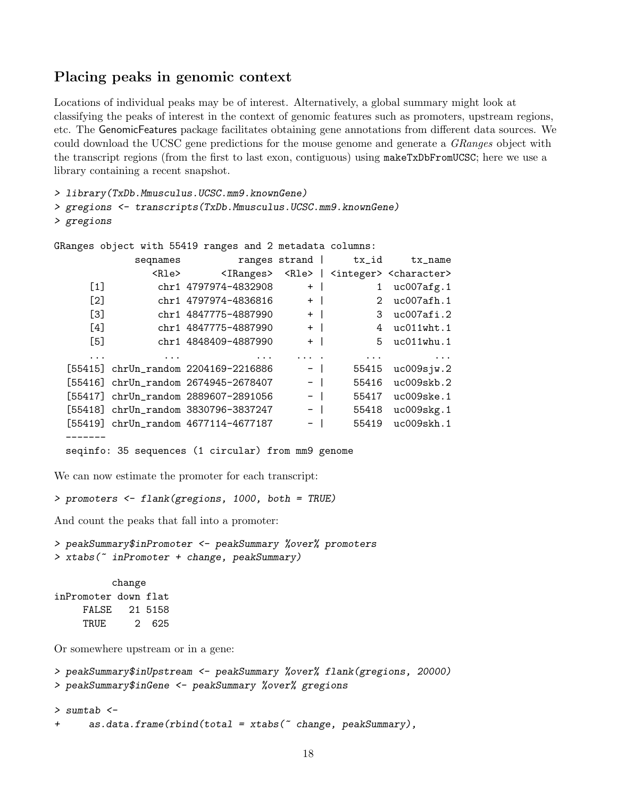# Placing peaks in genomic context

Locations of individual peaks may be of interest. Alternatively, a global summary might look at classifying the peaks of interest in the context of genomic features such as promoters, upstream regions, etc. The GenomicFeatures package facilitates obtaining gene annotations from different data sources. We could download the UCSC gene predictions for the mouse genome and generate a GRanges object with the transcript regions (from the first to last exon, contiguous) using makeTxDbFromUCSC; here we use a library containing a recent snapshot.

> library(TxDb.Mmusculus.UCSC.mm9.knownGene)

> gregions <- transcripts(TxDb.Mmusculus.UCSC.mm9.knownGene)

```
> gregions
```

```
GRanges object with 55419 ranges and 2 metadata columns:
```

|                  | seqnames    | ranges strand                                      |      | tx_id       | tx_name                                                                       |
|------------------|-------------|----------------------------------------------------|------|-------------|-------------------------------------------------------------------------------|
|                  | <rle></rle> |                                                    |      |             | <iranges> <rle>   <integer> <character></character></integer></rle></iranges> |
| [1]              |             | chr1 4797974-4832908                               | $+$  | 1           | uc007afg.1                                                                    |
| [2]              |             | chr1 4797974-4836816                               | $+$  | $2^{\circ}$ | uc007afh.1                                                                    |
| $\left[3\right]$ |             | chr1 4847775-4887990                               | $+$  | 3           | uc007afi.2                                                                    |
| $[4]$            |             | chr1 4847775-4887990                               | $+$  |             | 4 uc011wht.1                                                                  |
| $[5]$            |             | chr1 4848409-4887990                               | $+$  | 5           | $uc011$ whu. $1$                                                              |
| .                |             |                                                    | .    | $\cdots$    | $\cdots$                                                                      |
|                  |             | [55415] chrUn_random 2204169-2216886               | $-$  | 55415       | uc009sju.2                                                                    |
|                  |             | [55416] chrUn_random 2674945-2678407               | $-$  | 55416       | $uc009$ skb. $2$                                                              |
|                  |             | [55417] chrUn_random 2889607-2891056               | $-$  | 55417       | uc009ske.1                                                                    |
|                  |             | [55418] chrUn_random 3830796-3837247               | $-$  | 55418       | $uc009$ skg.1                                                                 |
|                  |             | [55419] chrUn_random 4677114-4677187               | $-1$ | 55419       | uc009skh.1                                                                    |
|                  |             |                                                    |      |             |                                                                               |
|                  |             | seqinfo: 35 sequences (1 circular) from mm9 genome |      |             |                                                                               |

We can now estimate the promoter for each transcript:

```
> promoters <- flank(gregions, 1000, both = TRUE)
```
And count the peaks that fall into a promoter:

```
> peakSummary$inPromoter <- peakSummary %over% promoters
> xtabs(~ inPromoter + change, peakSummary)
```
change inPromoter down flat FALSE 21 5158 TRUE 2 625

Or somewhere upstream or in a gene:

```
> peakSummary$inUpstream <- peakSummary %over% flank(gregions, 20000)
> peakSummary$inGene <- peakSummary %over% gregions
> sumtab <-
+ as.data.frame(rbind(total = xtabs("change, peakSummary),
```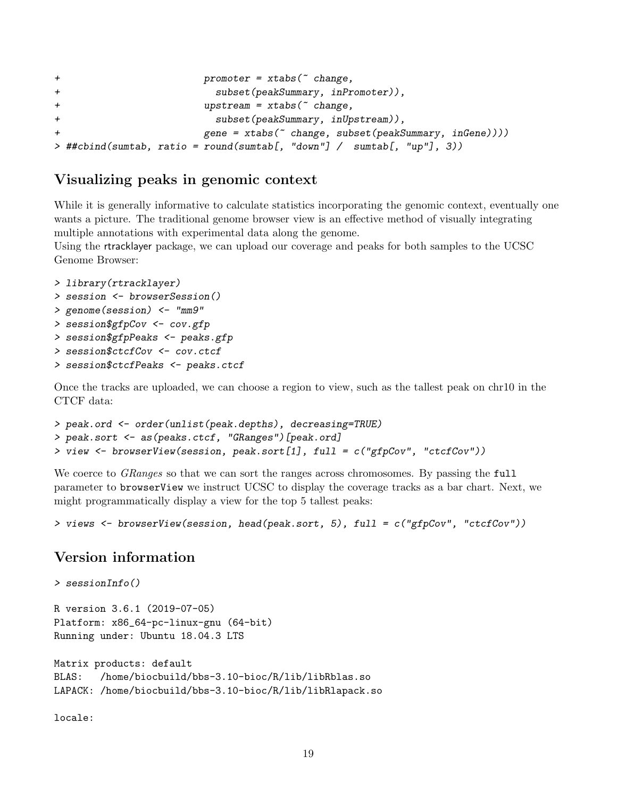```
+ promoter = xtabs(\tilde{c} change,
+ subset(peakSummary, inPromoter)),
+ upstream = xtabs(~ change,
+ subset(peakSummary, inUpstream)),
+ gene = xtabs(~ change, subset(peakSummary, inGene))))
> ##cbind(sumtab, ratio = round(sumtab[, "down"] / sumtab[, "up"], 3))
```
# Visualizing peaks in genomic context

While it is generally informative to calculate statistics incorporating the genomic context, eventually one wants a picture. The traditional genome browser view is an effective method of visually integrating multiple annotations with experimental data along the genome.

Using the rtracklayer package, we can upload our coverage and peaks for both samples to the UCSC Genome Browser:

```
> library(rtracklayer)
> session <- browserSession()
> genome(session) <- "mm9"
> session$gfpCov <- cov.gfp
> session$gfpPeaks <- peaks.gfp
> session$ctcfCov <- cov.ctcf
> session$ctcfPeaks <- peaks.ctcf
```
Once the tracks are uploaded, we can choose a region to view, such as the tallest peak on chr10 in the CTCF data:

```
> peak.ord <- order(unlist(peak.depths), decreasing=TRUE)
> peak.sort <- as(peaks.ctcf, "GRanges")[peak.ord]
> view <- browserView(session, peak.sort[1], full = c("gfpCov", "ctcfCov"))
```
We coerce to *GRanges* so that we can sort the ranges across chromosomes. By passing the full parameter to browserView we instruct UCSC to display the coverage tracks as a bar chart. Next, we might programmatically display a view for the top 5 tallest peaks:

```
> views <- browserView(session, head(peak.sort, 5), full = c("gfpCov", "ctcfCov"))
```
## Version information

```
> sessionInfo()
R version 3.6.1 (2019-07-05)
Platform: x86_64-pc-linux-gnu (64-bit)
Running under: Ubuntu 18.04.3 LTS
```

```
Matrix products: default
BLAS: /home/biocbuild/bbs-3.10-bioc/R/lib/libRblas.so
LAPACK: /home/biocbuild/bbs-3.10-bioc/R/lib/libRlapack.so
```
locale: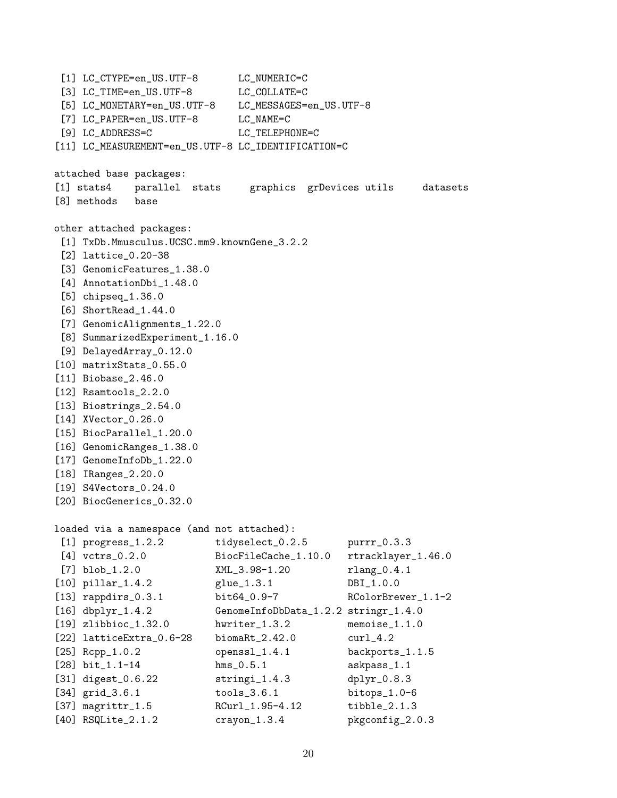[1] LC\_CTYPE=en\_US.UTF-8 LC\_NUMERIC=C [3] LC\_TIME=en\_US.UTF-8 LC\_COLLATE=C [5] LC\_MONETARY=en\_US.UTF-8 LC\_MESSAGES=en\_US.UTF-8 [7] LC\_PAPER=en\_US.UTF-8 LC\_NAME=C [9] LC\_ADDRESS=C LC\_TELEPHONE=C [11] LC\_MEASUREMENT=en\_US.UTF-8 LC\_IDENTIFICATION=C attached base packages: [1] stats4 parallel stats graphics grDevices utils datasets [8] methods base other attached packages: [1] TxDb.Mmusculus.UCSC.mm9.knownGene\_3.2.2 [2] lattice\_0.20-38 [3] GenomicFeatures\_1.38.0 [4] AnnotationDbi\_1.48.0 [5] chipseq\_1.36.0 [6] ShortRead\_1.44.0 [7] GenomicAlignments\_1.22.0 [8] SummarizedExperiment\_1.16.0 [9] DelayedArray\_0.12.0 [10] matrixStats\_0.55.0 [11] Biobase<sub>2.46.0</sub> [12] Rsamtools\_2.2.0 [13] Biostrings\_2.54.0 [14] XVector\_0.26.0 [15] BiocParallel\_1.20.0 [16] GenomicRanges\_1.38.0 [17] GenomeInfoDb\_1.22.0 [18] IRanges\_2.20.0 [19] S4Vectors\_0.24.0 [20] BiocGenerics\_0.32.0 loaded via a namespace (and not attached): [1] progress\_1.2.2 tidyselect\_0.2.5 purrr\_0.3.3 [4] vctrs\_0.2.0 BiocFileCache\_1.10.0 rtracklayer\_1.46.0 [7] blob\_1.2.0 XML\_3.98-1.20 rlang\_0.4.1 [10] pillar\_1.4.2 glue\_1.3.1 DBI\_1.0.0 [13] rappdirs\_0.3.1 bit64\_0.9-7 RColorBrewer\_1.1-2 [16] dbplyr\_1.4.2 GenomeInfoDbData\_1.2.2 stringr\_1.4.0 [19] zlibbioc\_1.32.0 hwriter\_1.3.2 memoise\_1.1.0 [22] latticeExtra\_0.6-28 biomaRt\_2.42.0 curl\_4.2 [25] Rcpp\_1.0.2 openssl\_1.4.1 backports\_1.1.5 [28] bit\_1.1-14 hms\_0.5.1 askpass\_1.1 [31] digest\_0.6.22 stringi\_1.4.3 dplyr\_0.8.3 [34] grid\_3.6.1 tools\_3.6.1 bitops\_1.0-6 [37] magrittr\_1.5 RCurl\_1.95-4.12 tibble\_2.1.3 [40] RSQLite\_2.1.2 crayon\_1.3.4 pkgconfig\_2.0.3